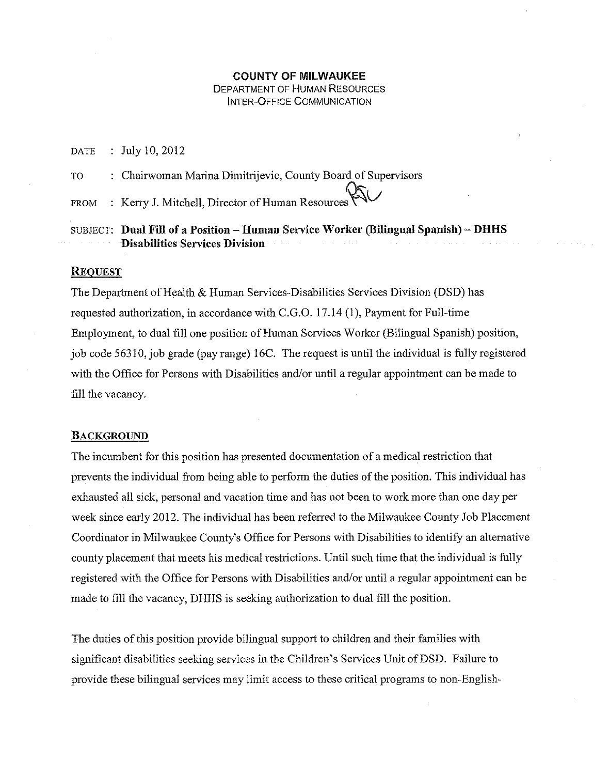# COUNTY OF MILWAUKEE DEPARTMENT OF HUMAN RESOURCES INTER-OFFICE COMMUNICATION

DATE : July 10, 2012

TO FROM Chairwoman Marina Dimitrijevic, County Board of Supervisors Kerry J. Mitchell, Director of Human Resources

SUBJECT: Dual Fill of a Position- Human Service Worker (Bilingual Spanish)~ DHHS Disabilities Services Division

### **REQUEST**

The Department of Health & Human Services-Disabilities Services Division (DSD) has requested authorization, in accordance with C.G.O. 17.14 (1), Payment for Full-time Employment, to dual fill one position of Human Services Worker (Bilingual Spanish) position, job code 56310, job grade (pay range) 16C. The request is until the individual is fully registered with the Office for Persons with Disabilities and/or until a regular appointment can be made to fill the vacancy.

#### BACKGROUND

The incumbent for this position has presented documentation of a medical restriction that prevents the individual from being able to perform the duties of the position. This individual has exhausted all sick, personal and vacation time and has not been to work more than one day per week since early 2012. The individual has been referred to the Milwaukee County Job Placement Coordinator in Milwaukee County's Office for Persons with Disabilities to identify an alternative county placement that meets his medical restrictions. Until such time that the individual is fully registered with the Office for Persons with Disabilities and/or until a regular appointment can be made to fill the vacancy, DHHS is seeking authorization to dual fill the position.

The duties of this position provide bilingual support to children and their families with significant disabilities seeking services in the Children's Services Unit ofDSD. Failure to provide these bilingual services may limit access to these critical programs to non-English